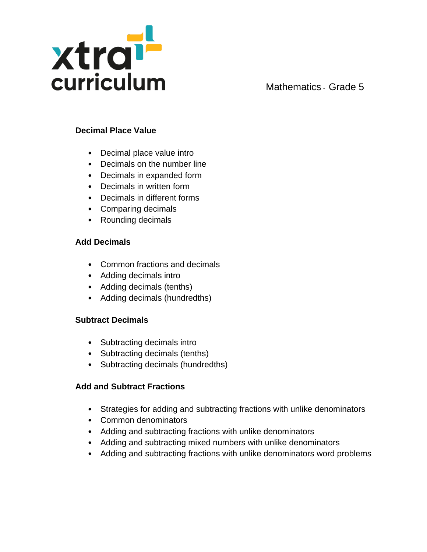

### **Decimal Place Value**

- Decimal place value intro
- Decimals on the number line
- Decimals in expanded form
- Decimals in written form
- Decimals in different forms
- Comparing decimals
- Rounding decimals

#### **Add Decimals**

- Common fractions and decimals
- Adding decimals intro
- Adding decimals (tenths)
- Adding decimals (hundredths)

### **Subtract Decimals**

- Subtracting decimals intro
- Subtracting decimals (tenths)
- Subtracting decimals (hundredths)

#### **Add and Subtract Fractions**

- Strategies for adding and subtracting fractions with unlike denominators
- Common denominators
- Adding and subtracting fractions with unlike denominators
- Adding and subtracting mixed numbers with unlike denominators
- Adding and subtracting fractions with unlike denominators word problems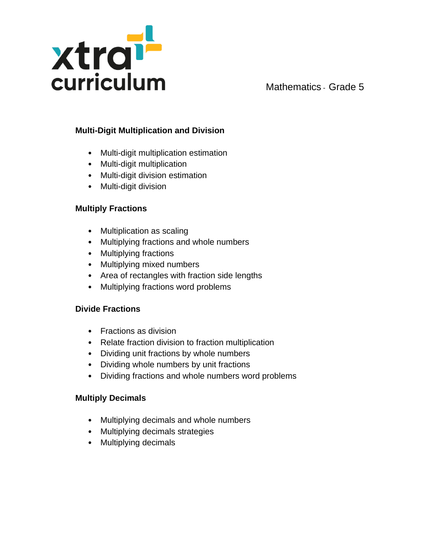

# **Multi-Digit Multiplication and Division**

- Multi-digit multiplication estimation
- Multi-digit multiplication
- Multi-digit division estimation
- Multi-digit division

### **Multiply Fractions**

- Multiplication as scaling
- Multiplying fractions and whole numbers
- Multiplying fractions
- Multiplying mixed numbers
- Area of rectangles with fraction side lengths
- Multiplying fractions word problems

### **Divide Fractions**

- Fractions as division
- Relate fraction division to fraction multiplication
- Dividing unit fractions by whole numbers
- Dividing whole numbers by unit fractions
- Dividing fractions and whole numbers word problems

### **Multiply Decimals**

- Multiplying decimals and whole numbers
- Multiplying decimals strategies
- Multiplying decimals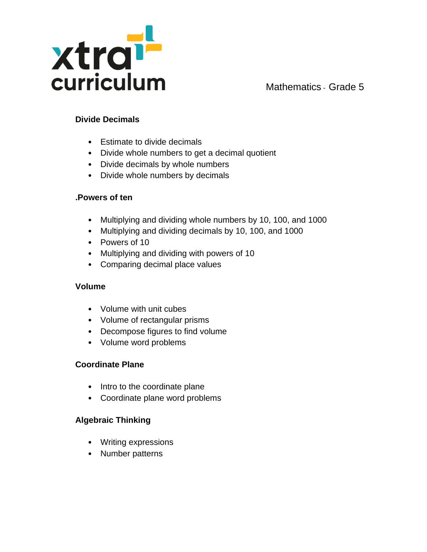

### **Divide Decimals**

- Estimate to divide decimals
- Divide whole numbers to get a decimal quotient
- Divide decimals by whole numbers
- Divide whole numbers by decimals

#### **.Powers of ten**

- Multiplying and dividing whole numbers by 10, 100, and 1000
- Multiplying and dividing decimals by 10, 100, and 1000
- Powers of 10
- Multiplying and dividing with powers of 10
- Comparing decimal place values

### **Volume**

- Volume with unit cubes
- Volume of rectangular prisms
- Decompose figures to find volume
- Volume word problems

### **Coordinate Plane**

- Intro to the coordinate plane
- Coordinate plane word problems

### **Algebraic Thinking**

- Writing expressions
- Number patterns